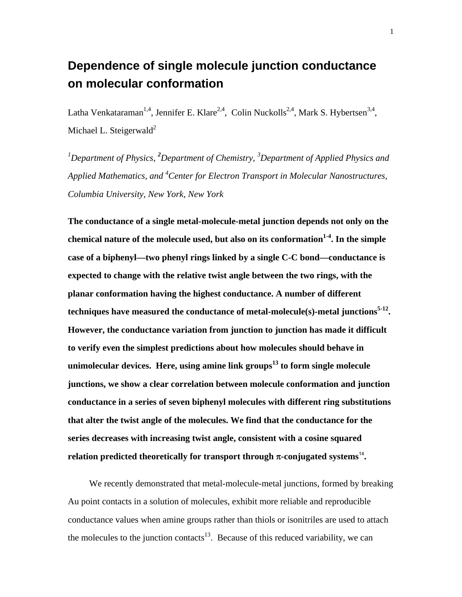## **Dependence of single molecule junction conductance on molecular conformation**

Latha Venkataraman<sup>1,4</sup>, Jennifer E. Klare<sup>2,4</sup>, Colin Nuckolls<sup>2,4</sup>, Mark S. Hybertsen<sup>3,4</sup>, Michael L. Steigerwald $^2$ 

*1 Department of Physics, <sup>2</sup> Department of Chemistry, <sup>3</sup> Department of Applied Physics and Applied Mathematics, and 4 Center for Electron Transport in Molecular Nanostructures, Columbia University, New York, New York* 

**The conductance of a single metal-molecule-metal junction depends not only on the**  chemical nature of the molecule used, but also on its conformation<sup>1-4</sup>. In the simple **case of a biphenyl—two phenyl rings linked by a single C-C bond—conductance is expected to change with the relative twist angle between the two rings, with the planar conformation having the highest conductance. A number of different**  techniques have measured the conductance of metal-molecule(s)-metal junctions<sup>5-12</sup>. **However, the conductance variation from junction to junction has made it difficult to verify even the simplest predictions about how molecules should behave in unimolecular devices. Here, using amine link groups13 to form single molecule junctions, we show a clear correlation between molecule conformation and junction conductance in a series of seven biphenyl molecules with different ring substitutions that alter the twist angle of the molecules. We find that the conductance for the series decreases with increasing twist angle, consistent with a cosine squared relation predicted theoretically for transport through**  $\pi$ **-conjugated systems<sup>14</sup>.** 

We recently demonstrated that metal-molecule-metal junctions, formed by breaking Au point contacts in a solution of molecules, exhibit more reliable and reproducible conductance values when amine groups rather than thiols or isonitriles are used to attach the molecules to the junction contacts<sup>13</sup>. Because of this reduced variability, we can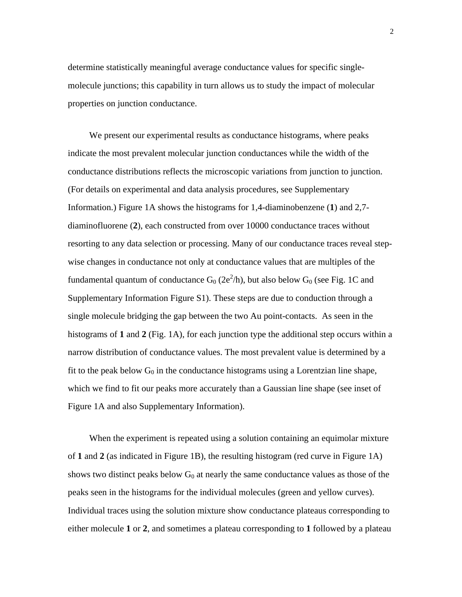determine statistically meaningful average conductance values for specific singlemolecule junctions; this capability in turn allows us to study the impact of molecular properties on junction conductance.

We present our experimental results as conductance histograms, where peaks indicate the most prevalent molecular junction conductances while the width of the conductance distributions reflects the microscopic variations from junction to junction. (For details on experimental and data analysis procedures, see Supplementary Information.) Figure 1A shows the histograms for 1,4-diaminobenzene (**1**) and 2,7 diaminofluorene (**2**), each constructed from over 10000 conductance traces without resorting to any data selection or processing. Many of our conductance traces reveal stepwise changes in conductance not only at conductance values that are multiples of the fundamental quantum of conductance  $G_0$  (2e<sup>2</sup>/h), but also below  $G_0$  (see Fig. 1C and Supplementary Information Figure S1). These steps are due to conduction through a single molecule bridging the gap between the two Au point-contacts. As seen in the histograms of **1** and **2** (Fig. 1A), for each junction type the additional step occurs within a narrow distribution of conductance values. The most prevalent value is determined by a fit to the peak below  $G_0$  in the conductance histograms using a Lorentzian line shape, which we find to fit our peaks more accurately than a Gaussian line shape (see inset of Figure 1A and also Supplementary Information).

When the experiment is repeated using a solution containing an equimolar mixture of **1** and **2** (as indicated in Figure 1B), the resulting histogram (red curve in Figure 1A) shows two distinct peaks below  $G_0$  at nearly the same conductance values as those of the peaks seen in the histograms for the individual molecules (green and yellow curves). Individual traces using the solution mixture show conductance plateaus corresponding to either molecule **1** or **2**, and sometimes a plateau corresponding to **1** followed by a plateau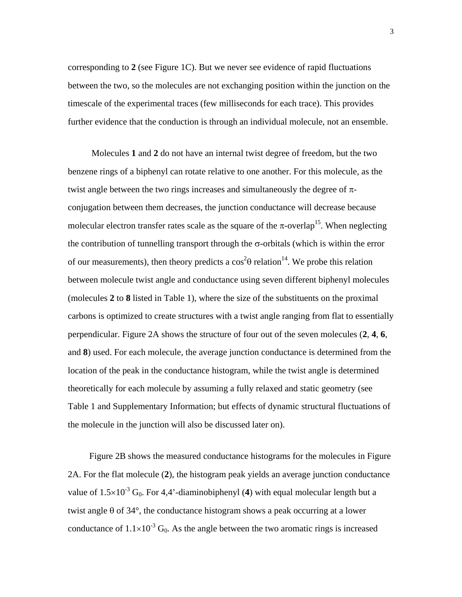corresponding to **2** (see Figure 1C). But we never see evidence of rapid fluctuations between the two, so the molecules are not exchanging position within the junction on the timescale of the experimental traces (few milliseconds for each trace). This provides further evidence that the conduction is through an individual molecule, not an ensemble.

 Molecules **1** and **2** do not have an internal twist degree of freedom, but the two benzene rings of a biphenyl can rotate relative to one another. For this molecule, as the twist angle between the two rings increases and simultaneously the degree of  $\pi$ conjugation between them decreases, the junction conductance will decrease because molecular electron transfer rates scale as the square of the  $\pi$ -overlap<sup>15</sup>. When neglecting the contribution of tunnelling transport through the  $\sigma$ -orbitals (which is within the error of our measurements), then theory predicts a  $\cos^2\theta$  relation<sup>14</sup>. We probe this relation between molecule twist angle and conductance using seven different biphenyl molecules (molecules **2** to **8** listed in Table 1), where the size of the substituents on the proximal carbons is optimized to create structures with a twist angle ranging from flat to essentially perpendicular. Figure 2A shows the structure of four out of the seven molecules (**2**, **4**, **6**, and **8**) used. For each molecule, the average junction conductance is determined from the location of the peak in the conductance histogram, while the twist angle is determined theoretically for each molecule by assuming a fully relaxed and static geometry (see Table 1 and Supplementary Information; but effects of dynamic structural fluctuations of the molecule in the junction will also be discussed later on).

Figure 2B shows the measured conductance histograms for the molecules in Figure 2A. For the flat molecule (**2**), the histogram peak yields an average junction conductance value of  $1.5 \times 10^{-3}$  G<sub>0</sub>. For 4,4'-diaminobiphenyl (4) with equal molecular length but a twist angle  $\theta$  of 34 $\degree$ , the conductance histogram shows a peak occurring at a lower conductance of  $1.1 \times 10^{-3}$  G<sub>0</sub>. As the angle between the two aromatic rings is increased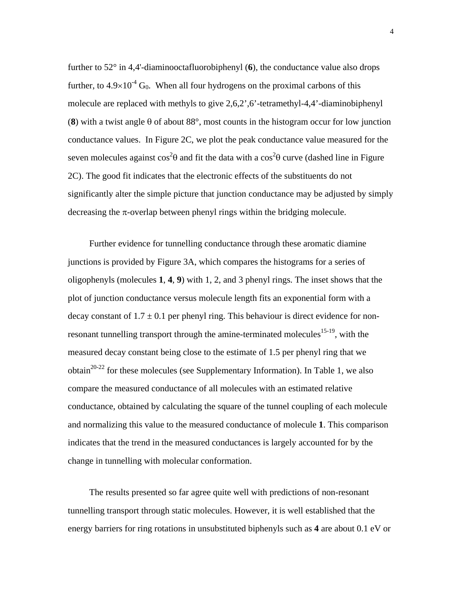further to 52° in 4,4'-diaminooctafluorobiphenyl (**6**), the conductance value also drops further, to  $4.9\times10^{-4}$  G<sub>0</sub>. When all four hydrogens on the proximal carbons of this molecule are replaced with methyls to give 2,6,2',6'-tetramethyl-4,4'-diaminobiphenyl (**8**) with a twist angle θ of about 88°, most counts in the histogram occur for low junction conductance values. In Figure 2C, we plot the peak conductance value measured for the seven molecules against  $\cos^2\theta$  and fit the data with a  $\cos^2\theta$  curve (dashed line in Figure 2C). The good fit indicates that the electronic effects of the substituents do not significantly alter the simple picture that junction conductance may be adjusted by simply decreasing the  $\pi$ -overlap between phenyl rings within the bridging molecule.

Further evidence for tunnelling conductance through these aromatic diamine junctions is provided by Figure 3A, which compares the histograms for a series of oligophenyls (molecules **1**, **4**, **9**) with 1, 2, and 3 phenyl rings. The inset shows that the plot of junction conductance versus molecule length fits an exponential form with a decay constant of  $1.7 \pm 0.1$  per phenyl ring. This behaviour is direct evidence for nonresonant tunnelling transport through the amine-terminated molecules<sup>15-19</sup>, with the measured decay constant being close to the estimate of 1.5 per phenyl ring that we obtain<sup>20-22</sup> for these molecules (see Supplementary Information). In Table 1, we also compare the measured conductance of all molecules with an estimated relative conductance, obtained by calculating the square of the tunnel coupling of each molecule and normalizing this value to the measured conductance of molecule **1**. This comparison indicates that the trend in the measured conductances is largely accounted for by the change in tunnelling with molecular conformation.

The results presented so far agree quite well with predictions of non-resonant tunnelling transport through static molecules. However, it is well established that the energy barriers for ring rotations in unsubstituted biphenyls such as **4** are about 0.1 eV or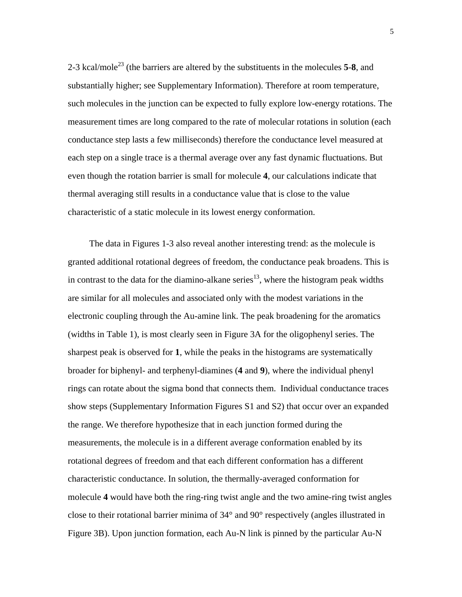2-3 kcal/mole23 (the barriers are altered by the substituents in the molecules **5**-**8**, and substantially higher; see Supplementary Information). Therefore at room temperature, such molecules in the junction can be expected to fully explore low-energy rotations. The measurement times are long compared to the rate of molecular rotations in solution (each conductance step lasts a few milliseconds) therefore the conductance level measured at each step on a single trace is a thermal average over any fast dynamic fluctuations. But even though the rotation barrier is small for molecule **4**, our calculations indicate that thermal averaging still results in a conductance value that is close to the value characteristic of a static molecule in its lowest energy conformation.

The data in Figures 1-3 also reveal another interesting trend: as the molecule is granted additional rotational degrees of freedom, the conductance peak broadens. This is in contrast to the data for the diamino-alkane series<sup>13</sup>, where the histogram peak widths are similar for all molecules and associated only with the modest variations in the electronic coupling through the Au-amine link. The peak broadening for the aromatics (widths in Table 1), is most clearly seen in Figure 3A for the oligophenyl series. The sharpest peak is observed for **1**, while the peaks in the histograms are systematically broader for biphenyl- and terphenyl-diamines (**4** and **9**), where the individual phenyl rings can rotate about the sigma bond that connects them. Individual conductance traces show steps (Supplementary Information Figures S1 and S2) that occur over an expanded the range. We therefore hypothesize that in each junction formed during the measurements, the molecule is in a different average conformation enabled by its rotational degrees of freedom and that each different conformation has a different characteristic conductance. In solution, the thermally-averaged conformation for molecule **4** would have both the ring-ring twist angle and the two amine-ring twist angles close to their rotational barrier minima of 34° and 90° respectively (angles illustrated in Figure 3B). Upon junction formation, each Au-N link is pinned by the particular Au-N

5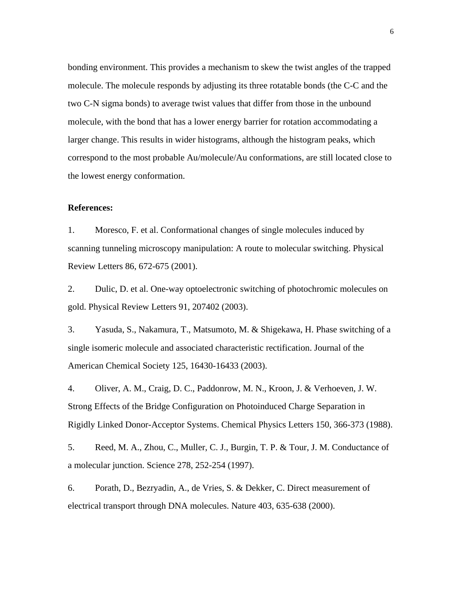bonding environment. This provides a mechanism to skew the twist angles of the trapped molecule. The molecule responds by adjusting its three rotatable bonds (the C-C and the two C-N sigma bonds) to average twist values that differ from those in the unbound molecule, with the bond that has a lower energy barrier for rotation accommodating a larger change. This results in wider histograms, although the histogram peaks, which correspond to the most probable Au/molecule/Au conformations, are still located close to the lowest energy conformation.

## **References:**

1. Moresco, F. et al. Conformational changes of single molecules induced by scanning tunneling microscopy manipulation: A route to molecular switching. Physical Review Letters 86, 672-675 (2001).

2. Dulic, D. et al. One-way optoelectronic switching of photochromic molecules on gold. Physical Review Letters 91, 207402 (2003).

3. Yasuda, S., Nakamura, T., Matsumoto, M. & Shigekawa, H. Phase switching of a single isomeric molecule and associated characteristic rectification. Journal of the American Chemical Society 125, 16430-16433 (2003).

4. Oliver, A. M., Craig, D. C., Paddonrow, M. N., Kroon, J. & Verhoeven, J. W. Strong Effects of the Bridge Configuration on Photoinduced Charge Separation in Rigidly Linked Donor-Acceptor Systems. Chemical Physics Letters 150, 366-373 (1988).

5. Reed, M. A., Zhou, C., Muller, C. J., Burgin, T. P. & Tour, J. M. Conductance of a molecular junction. Science 278, 252-254 (1997).

6. Porath, D., Bezryadin, A., de Vries, S. & Dekker, C. Direct measurement of electrical transport through DNA molecules. Nature 403, 635-638 (2000).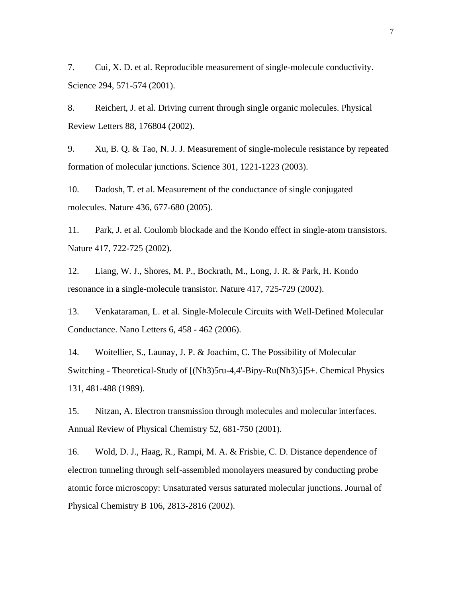7. Cui, X. D. et al. Reproducible measurement of single-molecule conductivity. Science 294, 571-574 (2001).

8. Reichert, J. et al. Driving current through single organic molecules. Physical Review Letters 88, 176804 (2002).

9. Xu, B. Q. & Tao, N. J. J. Measurement of single-molecule resistance by repeated formation of molecular junctions. Science 301, 1221-1223 (2003).

10. Dadosh, T. et al. Measurement of the conductance of single conjugated molecules. Nature 436, 677-680 (2005).

11. Park, J. et al. Coulomb blockade and the Kondo effect in single-atom transistors. Nature 417, 722-725 (2002).

12. Liang, W. J., Shores, M. P., Bockrath, M., Long, J. R. & Park, H. Kondo resonance in a single-molecule transistor. Nature 417, 725-729 (2002).

13. Venkataraman, L. et al. Single-Molecule Circuits with Well-Defined Molecular Conductance. Nano Letters 6, 458 - 462 (2006).

14. Woitellier, S., Launay, J. P. & Joachim, C. The Possibility of Molecular Switching - Theoretical-Study of [(Nh3)5ru-4,4'-Bipy-Ru(Nh3)5]5+. Chemical Physics 131, 481-488 (1989).

15. Nitzan, A. Electron transmission through molecules and molecular interfaces. Annual Review of Physical Chemistry 52, 681-750 (2001).

16. Wold, D. J., Haag, R., Rampi, M. A. & Frisbie, C. D. Distance dependence of electron tunneling through self-assembled monolayers measured by conducting probe atomic force microscopy: Unsaturated versus saturated molecular junctions. Journal of Physical Chemistry B 106, 2813-2816 (2002).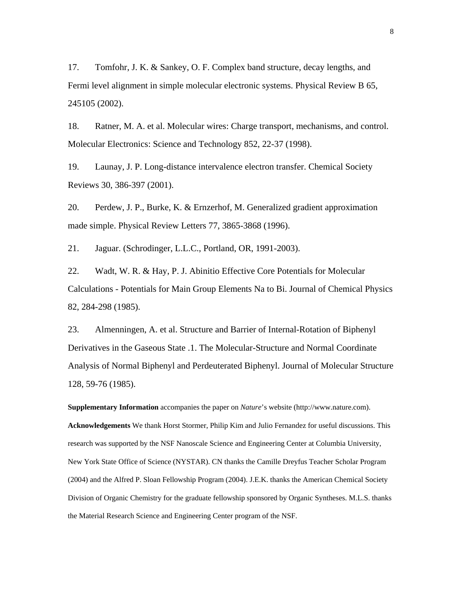17. Tomfohr, J. K. & Sankey, O. F. Complex band structure, decay lengths, and Fermi level alignment in simple molecular electronic systems. Physical Review B 65, 245105 (2002).

18. Ratner, M. A. et al. Molecular wires: Charge transport, mechanisms, and control. Molecular Electronics: Science and Technology 852, 22-37 (1998).

19. Launay, J. P. Long-distance intervalence electron transfer. Chemical Society Reviews 30, 386-397 (2001).

20. Perdew, J. P., Burke, K. & Ernzerhof, M. Generalized gradient approximation made simple. Physical Review Letters 77, 3865-3868 (1996).

21. Jaguar. (Schrodinger, L.L.C., Portland, OR, 1991-2003).

22. Wadt, W. R. & Hay, P. J. Abinitio Effective Core Potentials for Molecular Calculations - Potentials for Main Group Elements Na to Bi. Journal of Chemical Physics 82, 284-298 (1985).

23. Almenningen, A. et al. Structure and Barrier of Internal-Rotation of Biphenyl Derivatives in the Gaseous State .1. The Molecular-Structure and Normal Coordinate Analysis of Normal Biphenyl and Perdeuterated Biphenyl. Journal of Molecular Structure 128, 59-76 (1985).

**Supplementary Information** accompanies the paper on *Nature*'s website (http://www.nature.com). **Acknowledgements** We thank Horst Stormer, Philip Kim and Julio Fernandez for useful discussions. This research was supported by the NSF Nanoscale Science and Engineering Center at Columbia University, New York State Office of Science (NYSTAR). CN thanks the Camille Dreyfus Teacher Scholar Program (2004) and the Alfred P. Sloan Fellowship Program (2004). J.E.K. thanks the American Chemical Society Division of Organic Chemistry for the graduate fellowship sponsored by Organic Syntheses. M.L.S. thanks the Material Research Science and Engineering Center program of the NSF.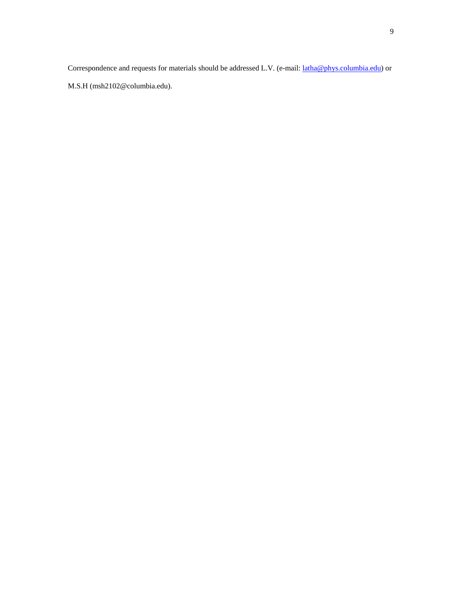Correspondence and requests for materials should be addressed L.V. (e-mail:  $latha@phys.columbia.edu$ ) or</u>

M.S.H (msh2102@columbia.edu).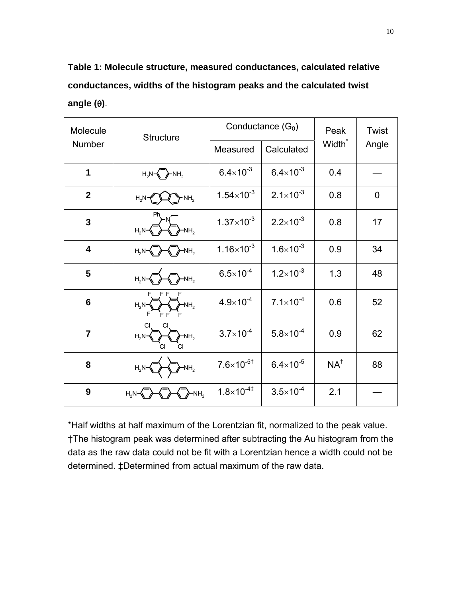**Table 1: Molecule structure, measured conductances, calculated relative conductances, widths of the histogram peaks and the calculated twist angle (**θ**)**.

| Molecule<br>Number      | Structure                                             | Conductance $(G_0)$   |                      | Peak               | Twist          |
|-------------------------|-------------------------------------------------------|-----------------------|----------------------|--------------------|----------------|
|                         |                                                       | Measured              | Calculated           | Width <sup>*</sup> | Angle          |
| 1                       | $H_2N\leftarrow \rightarrow NH_2$                     | $6.4 \times 10^{-3}$  | $6.4\times10^{-3}$   | 0.4                |                |
| $\overline{2}$          | $H_2N$<br>$\cdot$ NH <sub>2</sub>                     | $1.54 \times 10^{-3}$ | $2.1 \times 10^{-3}$ | 0.8                | $\overline{0}$ |
| $\overline{3}$          | Ph<br>NH <sub>2</sub><br>$H_2N$                       | $1.37\times10^{-3}$   | $2.2 \times 10^{-3}$ | 0.8                | 17             |
| $\overline{\mathbf{4}}$ | NH <sub>2</sub><br>$H_2N$                             | $1.16 \times 10^{-3}$ | $1.6 \times 10^{-3}$ | 0.9                | 34             |
| 5                       | $H_{\alpha}N$<br>NH <sub>2</sub>                      | $6.5 \times 10^{-4}$  | $1.2 \times 10^{-3}$ | 1.3                | 48             |
| $6\phantom{1}6$         | F F<br>$H_2N-$<br>NH <sub>2</sub>                     | $4.9 \times 10^{-4}$  | $7.1 \times 10^{-4}$ | 0.6                | 52             |
| $\overline{7}$          | CI<br>СI<br>$H_2N$ -<br>NH <sub>2</sub><br>CI.<br>CI. | $3.7 \times 10^{-4}$  | $5.8\times10^{-4}$   | 0.9                | 62             |
| 8                       | NH <sub>2</sub><br>$H_2N$                             | $7.6 \times 10^{-5}$  | $6.4\times10^{-5}$   | NA <sup>†</sup>    | 88             |
| 9                       | $H_2N$<br>NH,                                         | $1.8 \times 10^{-4}$  | $3.5 \times 10^{-4}$ | 2.1                |                |

\*Half widths at half maximum of the Lorentzian fit, normalized to the peak value. †The histogram peak was determined after subtracting the Au histogram from the data as the raw data could not be fit with a Lorentzian hence a width could not be determined. ‡Determined from actual maximum of the raw data.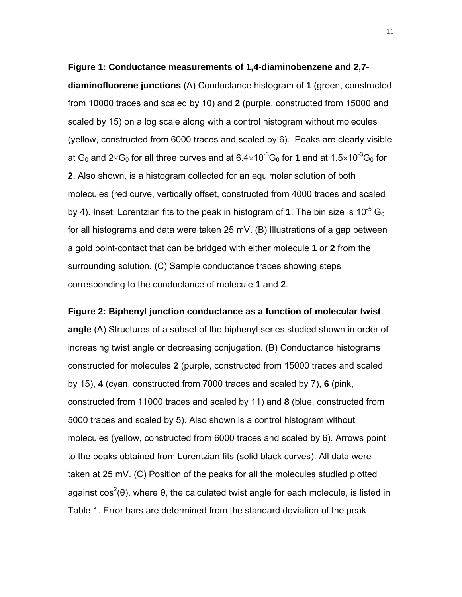**Figure 1: Conductance measurements of 1,4-diaminobenzene and 2,7 diaminofluorene junctions** (A) Conductance histogram of **1** (green, constructed from 10000 traces and scaled by 10) and **2** (purple, constructed from 15000 and scaled by 15) on a log scale along with a control histogram without molecules (yellow, constructed from 6000 traces and scaled by 6). Peaks are clearly visible at G<sub>0</sub> and 2×G<sub>0</sub> for all three curves and at 6.4×10<sup>-3</sup>G<sub>0</sub> for 1 and at 1.5×10<sup>-3</sup>G<sub>0</sub> for **2**. Also shown, is a histogram collected for an equimolar solution of both molecules (red curve, vertically offset, constructed from 4000 traces and scaled by 4). Inset: Lorentzian fits to the peak in histogram of 1. The bin size is  $10^{-5}$  G<sub>0</sub> for all histograms and data were taken 25 mV. (B) Illustrations of a gap between a gold point-contact that can be bridged with either molecule **1** or **2** from the surrounding solution. (C) Sample conductance traces showing steps corresponding to the conductance of molecule **1** and **2**.

**Figure 2: Biphenyl junction conductance as a function of molecular twist angle** (A) Structures of a subset of the biphenyl series studied shown in order of increasing twist angle or decreasing conjugation. (B) Conductance histograms constructed for molecules **2** (purple, constructed from 15000 traces and scaled by 15), **4** (cyan, constructed from 7000 traces and scaled by 7), **6** (pink, constructed from 11000 traces and scaled by 11) and **8** (blue, constructed from 5000 traces and scaled by 5). Also shown is a control histogram without molecules (yellow, constructed from 6000 traces and scaled by 6). Arrows point to the peaks obtained from Lorentzian fits (solid black curves). All data were taken at 25 mV. (C) Position of the peaks for all the molecules studied plotted against  $cos<sup>2</sup>(θ)$ , where  $θ$ , the calculated twist angle for each molecule, is listed in Table 1. Error bars are determined from the standard deviation of the peak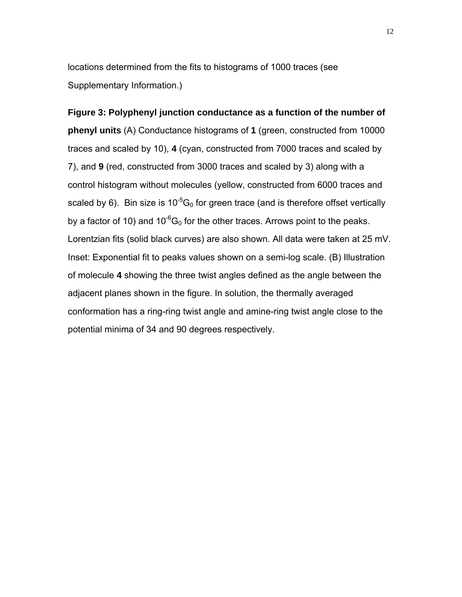locations determined from the fits to histograms of 1000 traces (see Supplementary Information.)

**Figure 3: Polyphenyl junction conductance as a function of the number of phenyl units** (A) Conductance histograms of **1** (green, constructed from 10000 traces and scaled by 10), **4** (cyan, constructed from 7000 traces and scaled by 7), and **9** (red, constructed from 3000 traces and scaled by 3) along with a control histogram without molecules (yellow, constructed from 6000 traces and scaled by 6). Bin size is  $10^{-5}G_0$  for green trace (and is therefore offset vertically by a factor of 10) and  $10^{-6}$ G<sub>0</sub> for the other traces. Arrows point to the peaks. Lorentzian fits (solid black curves) are also shown. All data were taken at 25 mV. Inset: Exponential fit to peaks values shown on a semi-log scale. (B) Illustration of molecule **4** showing the three twist angles defined as the angle between the adjacent planes shown in the figure. In solution, the thermally averaged conformation has a ring-ring twist angle and amine-ring twist angle close to the potential minima of 34 and 90 degrees respectively.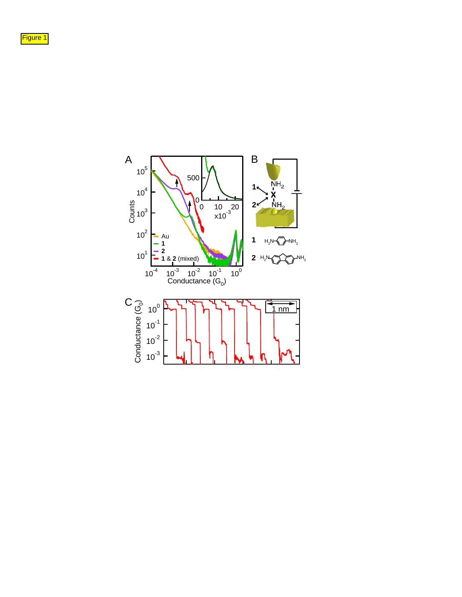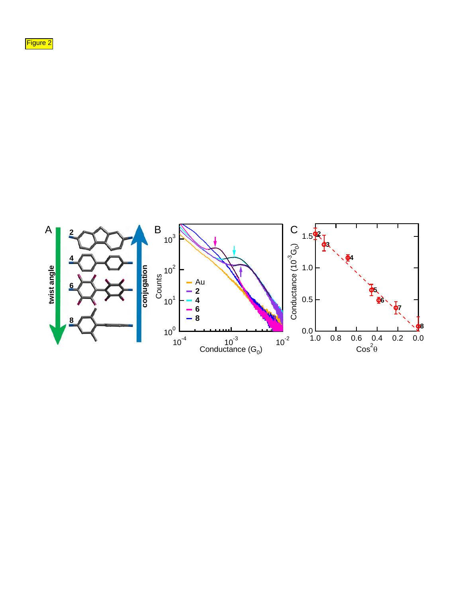